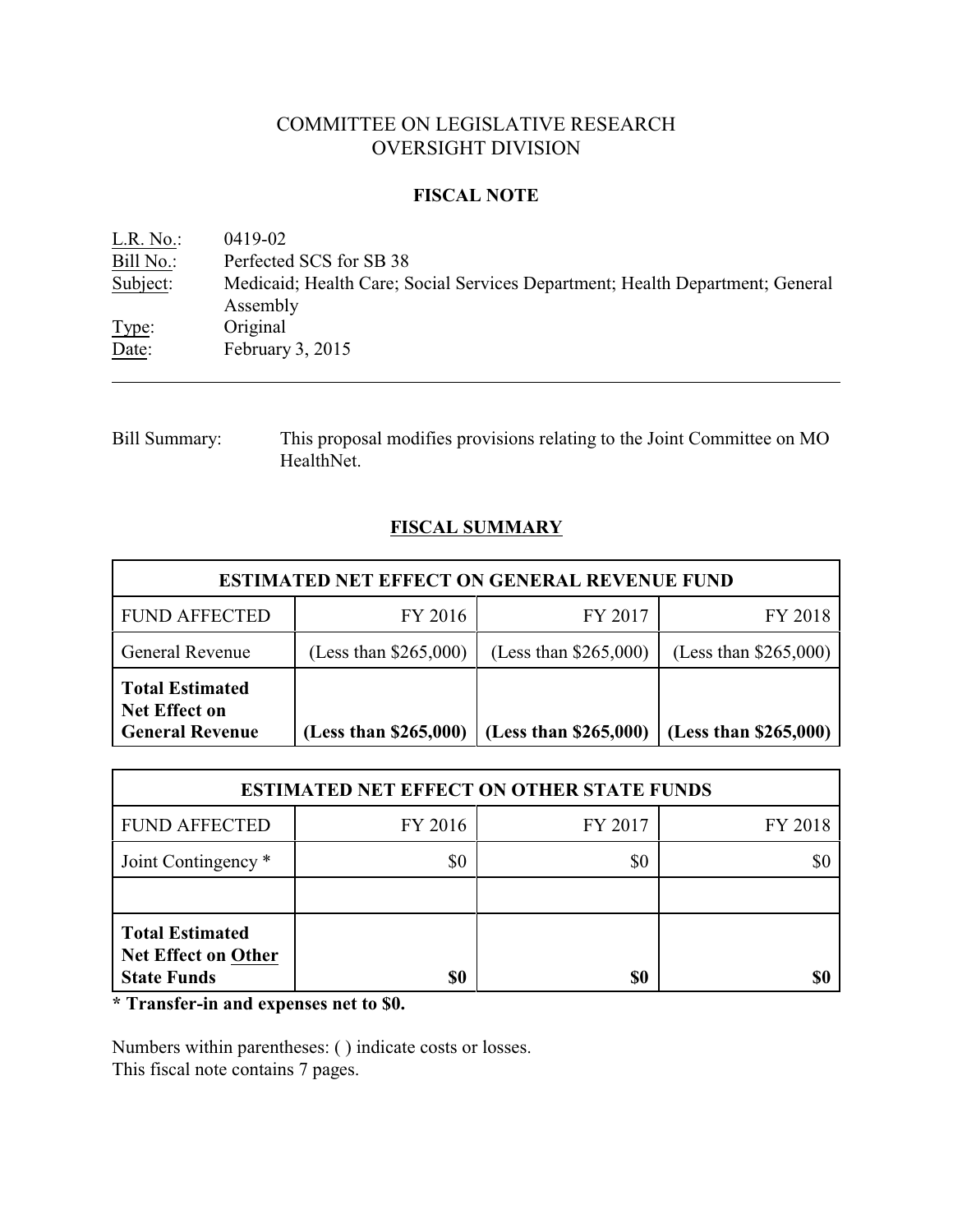# COMMITTEE ON LEGISLATIVE RESEARCH OVERSIGHT DIVISION

### **FISCAL NOTE**

| $L.R. No.$ : | 0419-02                                                                                   |
|--------------|-------------------------------------------------------------------------------------------|
| Bill No.:    | Perfected SCS for SB 38                                                                   |
| Subject:     | Medicaid; Health Care; Social Services Department; Health Department; General<br>Assembly |
| Type:        | Original                                                                                  |
| Date:        | February $3, 2015$                                                                        |

Bill Summary: This proposal modifies provisions relating to the Joint Committee on MO HealthNet.

# **FISCAL SUMMARY**

| <b>ESTIMATED NET EFFECT ON GENERAL REVENUE FUND</b>                      |                         |                         |                         |  |
|--------------------------------------------------------------------------|-------------------------|-------------------------|-------------------------|--|
| <b>FUND AFFECTED</b>                                                     | FY 2016                 | FY 2017                 | FY 2018                 |  |
| General Revenue                                                          | (Less than $$265,000$ ) | (Less than $$265,000$ ) | (Less than $$265,000$ ) |  |
| <b>Total Estimated</b><br><b>Net Effect on</b><br><b>General Revenue</b> | (Less than \$265,000)   | (Less than \$265,000)   | (Less than $$265,000$ ) |  |

| <b>ESTIMATED NET EFFECT ON OTHER STATE FUNDS</b>                    |         |         |         |  |
|---------------------------------------------------------------------|---------|---------|---------|--|
| <b>FUND AFFECTED</b>                                                | FY 2016 | FY 2017 | FY 2018 |  |
| Joint Contingency *                                                 | \$0     | \$0     |         |  |
|                                                                     |         |         |         |  |
| <b>Total Estimated</b><br>Net Effect on Other<br><b>State Funds</b> | \$0     | \$0     |         |  |

**\* Transfer-in and expenses net to \$0.**

Numbers within parentheses: ( ) indicate costs or losses. This fiscal note contains 7 pages.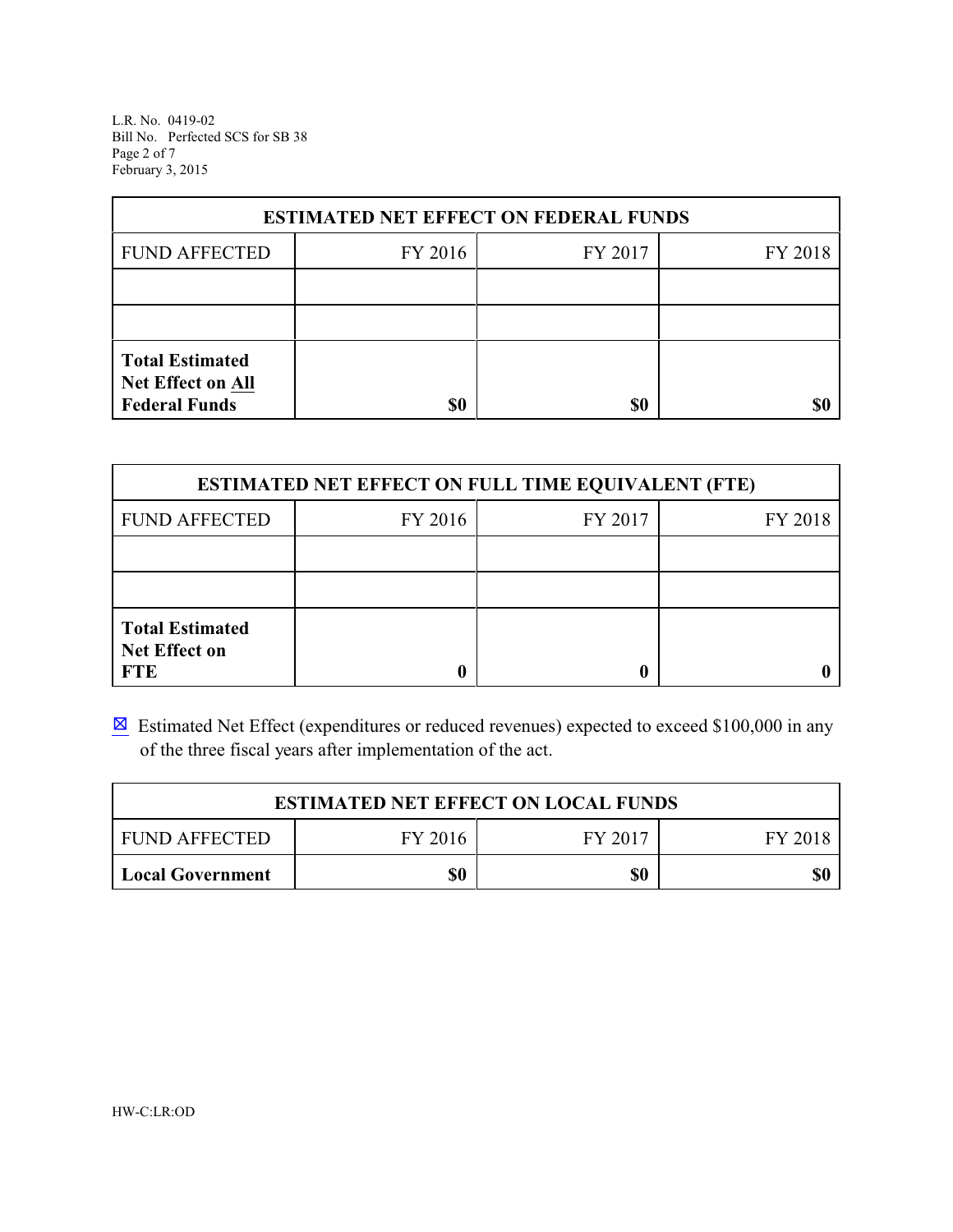L.R. No. 0419-02 Bill No. Perfected SCS for SB 38 Page 2 of 7 February 3, 2015

| <b>ESTIMATED NET EFFECT ON FEDERAL FUNDS</b>                        |         |         |         |  |  |
|---------------------------------------------------------------------|---------|---------|---------|--|--|
| <b>FUND AFFECTED</b>                                                | FY 2016 | FY 2017 | FY 2018 |  |  |
|                                                                     |         |         |         |  |  |
|                                                                     |         |         |         |  |  |
| <b>Total Estimated</b><br>Net Effect on All<br><b>Federal Funds</b> | \$0     | \$0     | SI)     |  |  |

| <b>ESTIMATED NET EFFECT ON FULL TIME EQUIVALENT (FTE)</b>    |         |         |         |  |
|--------------------------------------------------------------|---------|---------|---------|--|
| <b>FUND AFFECTED</b>                                         | FY 2016 | FY 2017 | FY 2018 |  |
|                                                              |         |         |         |  |
|                                                              |         |         |         |  |
| <b>Total Estimated</b><br><b>Net Effect on</b><br><b>FTE</b> |         |         |         |  |

 $\boxtimes$  Estimated Net Effect (expenditures or reduced revenues) expected to exceed \$100,000 in any of the three fiscal years after implementation of the act.

| <b>ESTIMATED NET EFFECT ON LOCAL FUNDS</b> |         |         |         |  |
|--------------------------------------------|---------|---------|---------|--|
| <b>FUND AFFECTED</b>                       | FY 2016 | FY 2017 | FY 2018 |  |
| <b>Local Government</b>                    | \$0     | \$0     | \$0     |  |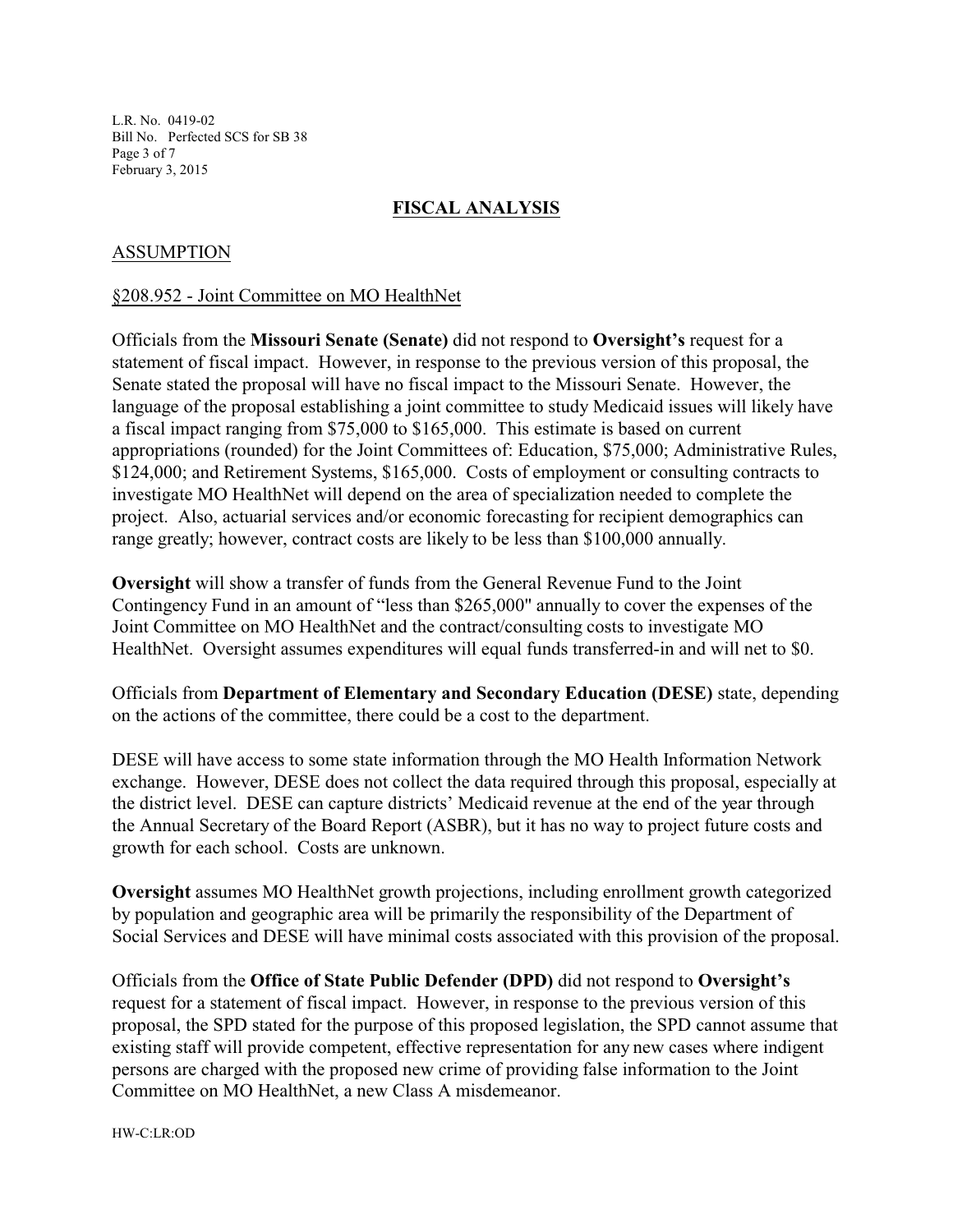L.R. No. 0419-02 Bill No. Perfected SCS for SB 38 Page 3 of 7 February 3, 2015

## **FISCAL ANALYSIS**

## ASSUMPTION

#### §208.952 - Joint Committee on MO HealthNet

Officials from the **Missouri Senate (Senate)** did not respond to **Oversight's** request for a statement of fiscal impact. However, in response to the previous version of this proposal, the Senate stated the proposal will have no fiscal impact to the Missouri Senate. However, the language of the proposal establishing a joint committee to study Medicaid issues will likely have a fiscal impact ranging from \$75,000 to \$165,000. This estimate is based on current appropriations (rounded) for the Joint Committees of: Education, \$75,000; Administrative Rules, \$124,000; and Retirement Systems, \$165,000. Costs of employment or consulting contracts to investigate MO HealthNet will depend on the area of specialization needed to complete the project. Also, actuarial services and/or economic forecasting for recipient demographics can range greatly; however, contract costs are likely to be less than \$100,000 annually.

**Oversight** will show a transfer of funds from the General Revenue Fund to the Joint Contingency Fund in an amount of "less than \$265,000" annually to cover the expenses of the Joint Committee on MO HealthNet and the contract/consulting costs to investigate MO HealthNet. Oversight assumes expenditures will equal funds transferred-in and will net to \$0.

Officials from **Department of Elementary and Secondary Education (DESE)** state, depending on the actions of the committee, there could be a cost to the department.

DESE will have access to some state information through the MO Health Information Network exchange. However, DESE does not collect the data required through this proposal, especially at the district level. DESE can capture districts' Medicaid revenue at the end of the year through the Annual Secretary of the Board Report (ASBR), but it has no way to project future costs and growth for each school. Costs are unknown.

**Oversight** assumes MO HealthNet growth projections, including enrollment growth categorized by population and geographic area will be primarily the responsibility of the Department of Social Services and DESE will have minimal costs associated with this provision of the proposal.

Officials from the **Office of State Public Defender (DPD)** did not respond to **Oversight's** request for a statement of fiscal impact. However, in response to the previous version of this proposal, the SPD stated for the purpose of this proposed legislation, the SPD cannot assume that existing staff will provide competent, effective representation for any new cases where indigent persons are charged with the proposed new crime of providing false information to the Joint Committee on MO HealthNet, a new Class A misdemeanor.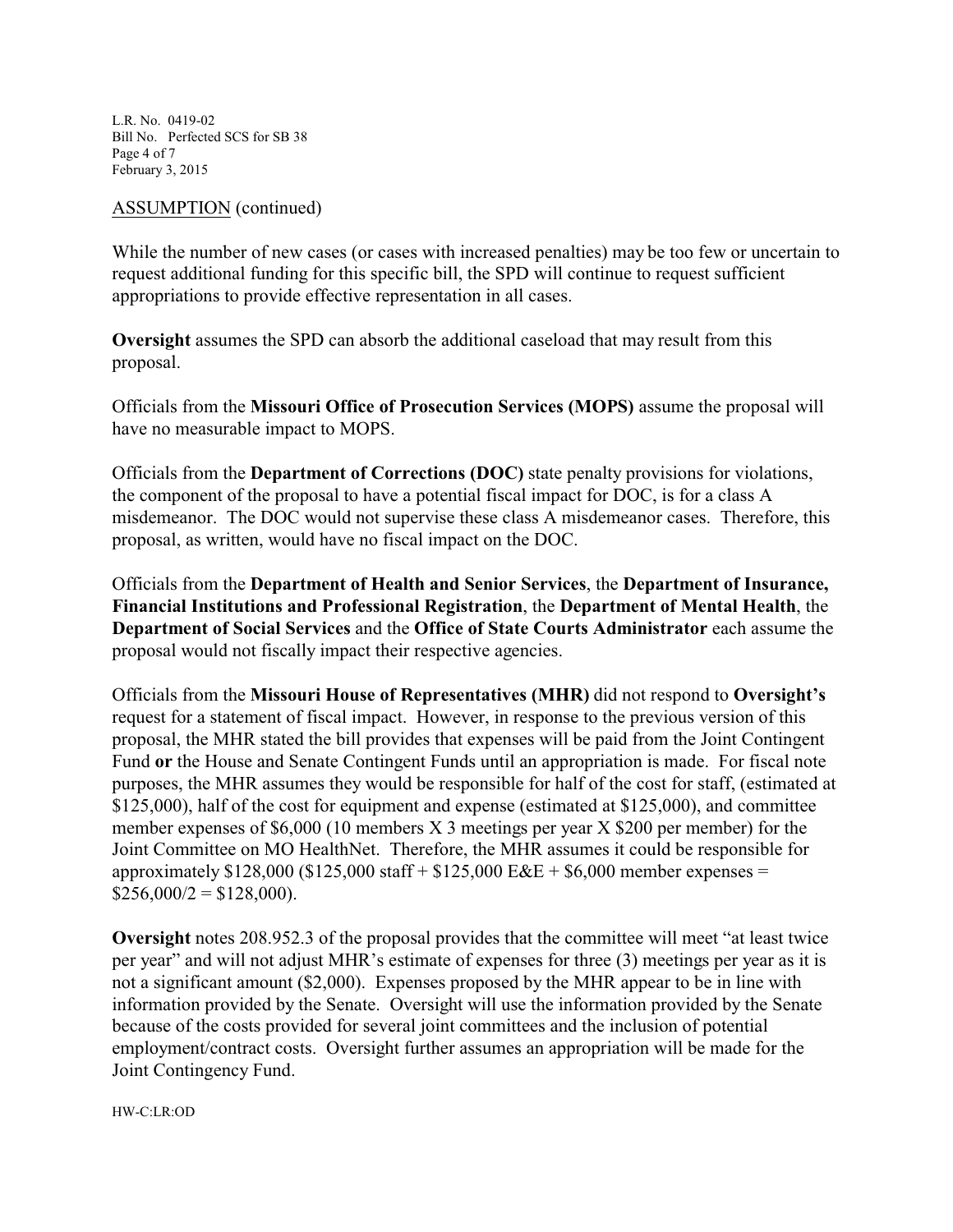L.R. No. 0419-02 Bill No. Perfected SCS for SB 38 Page 4 of 7 February 3, 2015

#### ASSUMPTION (continued)

While the number of new cases (or cases with increased penalties) may be too few or uncertain to request additional funding for this specific bill, the SPD will continue to request sufficient appropriations to provide effective representation in all cases.

**Oversight** assumes the SPD can absorb the additional caseload that may result from this proposal.

Officials from the **Missouri Office of Prosecution Services (MOPS)** assume the proposal will have no measurable impact to MOPS.

Officials from the **Department of Corrections (DOC)** state penalty provisions for violations, the component of the proposal to have a potential fiscal impact for DOC, is for a class A misdemeanor. The DOC would not supervise these class A misdemeanor cases. Therefore, this proposal, as written, would have no fiscal impact on the DOC.

Officials from the **Department of Health and Senior Services**, the **Department of Insurance, Financial Institutions and Professional Registration**, the **Department of Mental Health**, the **Department of Social Services** and the **Office of State Courts Administrator** each assume the proposal would not fiscally impact their respective agencies.

Officials from the **Missouri House of Representatives (MHR)** did not respond to **Oversight's** request for a statement of fiscal impact. However, in response to the previous version of this proposal, the MHR stated the bill provides that expenses will be paid from the Joint Contingent Fund **or** the House and Senate Contingent Funds until an appropriation is made. For fiscal note purposes, the MHR assumes they would be responsible for half of the cost for staff, (estimated at \$125,000), half of the cost for equipment and expense (estimated at \$125,000), and committee member expenses of \$6,000 (10 members X 3 meetings per year X \$200 per member) for the Joint Committee on MO HealthNet. Therefore, the MHR assumes it could be responsible for approximately  $$128,000$  ( $$125,000$  staff +  $$125,000$  E&E +  $$6,000$  member expenses =  $$256,000/2 = $128,000$ .

**Oversight** notes 208.952.3 of the proposal provides that the committee will meet "at least twice per year" and will not adjust MHR's estimate of expenses for three (3) meetings per year as it is not a significant amount (\$2,000). Expenses proposed by the MHR appear to be in line with information provided by the Senate. Oversight will use the information provided by the Senate because of the costs provided for several joint committees and the inclusion of potential employment/contract costs. Oversight further assumes an appropriation will be made for the Joint Contingency Fund.

HW-C:LR:OD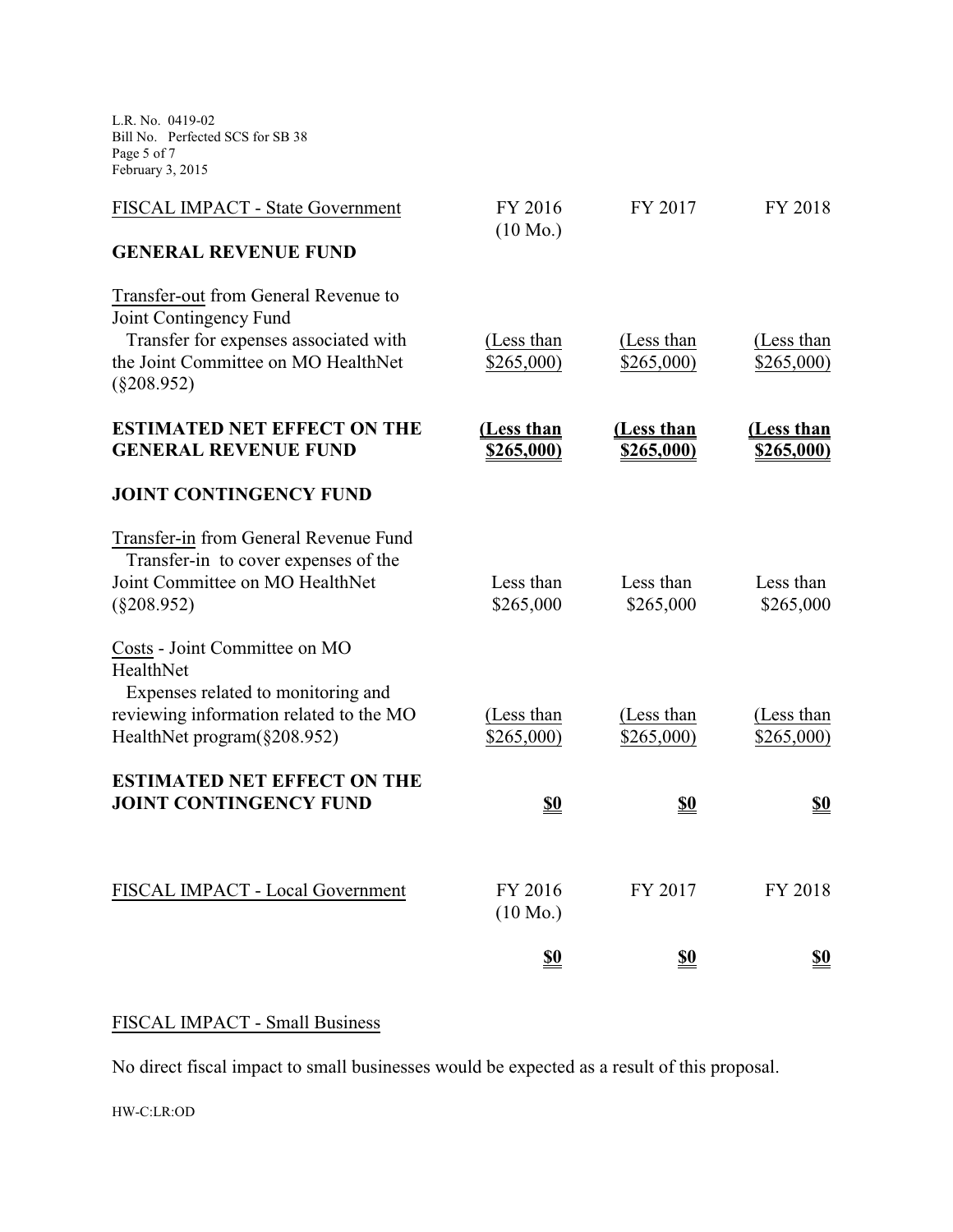L.R. No. 0419-02 Bill No. Perfected SCS for SB 38 Page 5 of 7 February 3, 2015

| FISCAL IMPACT - State Government                                                                                                                                | FY 2016<br>$(10 \text{ Mo.})$ | FY 2017                  | FY 2018                         |
|-----------------------------------------------------------------------------------------------------------------------------------------------------------------|-------------------------------|--------------------------|---------------------------------|
| <b>GENERAL REVENUE FUND</b>                                                                                                                                     |                               |                          |                                 |
| Transfer-out from General Revenue to<br>Joint Contingency Fund<br>Transfer for expenses associated with<br>the Joint Committee on MO HealthNet<br>$(\$208.952)$ | (Less than<br>\$265,000       | (Less than<br>\$265,000  | (Less than<br>\$265,000         |
| <b>ESTIMATED NET EFFECT ON THE</b><br><b>GENERAL REVENUE FUND</b>                                                                                               | (Less than<br>\$265,000)      | (Less than<br>\$265,000) | (Less than<br><u>\$265,000)</u> |
| <b>JOINT CONTINGENCY FUND</b>                                                                                                                                   |                               |                          |                                 |
| Transfer-in from General Revenue Fund<br>Transfer-in to cover expenses of the<br>Joint Committee on MO HealthNet<br>$(\$208.952)$                               | Less than<br>\$265,000        | Less than<br>\$265,000   | Less than<br>\$265,000          |
| Costs - Joint Committee on MO<br>HealthNet<br>Expenses related to monitoring and<br>reviewing information related to the MO                                     | (Less than                    | (Less than               | (Less than                      |
| HealthNet program(§208.952)                                                                                                                                     | \$265,000)                    | \$265,000                | \$265,000                       |
| <b>ESTIMATED NET EFFECT ON THE</b><br><b>JOINT CONTINGENCY FUND</b>                                                                                             | <u>\$0</u>                    | <u>\$0</u>               | <u>\$0</u>                      |
| FISCAL IMPACT - Local Government                                                                                                                                | FY 2016<br>$(10 \text{ Mo.})$ | FY 2017                  | FY 2018                         |
|                                                                                                                                                                 | <u>\$0</u>                    | <u>\$0</u>               | <u>\$0</u>                      |

# FISCAL IMPACT - Small Business

No direct fiscal impact to small businesses would be expected as a result of this proposal.

HW-C:LR:OD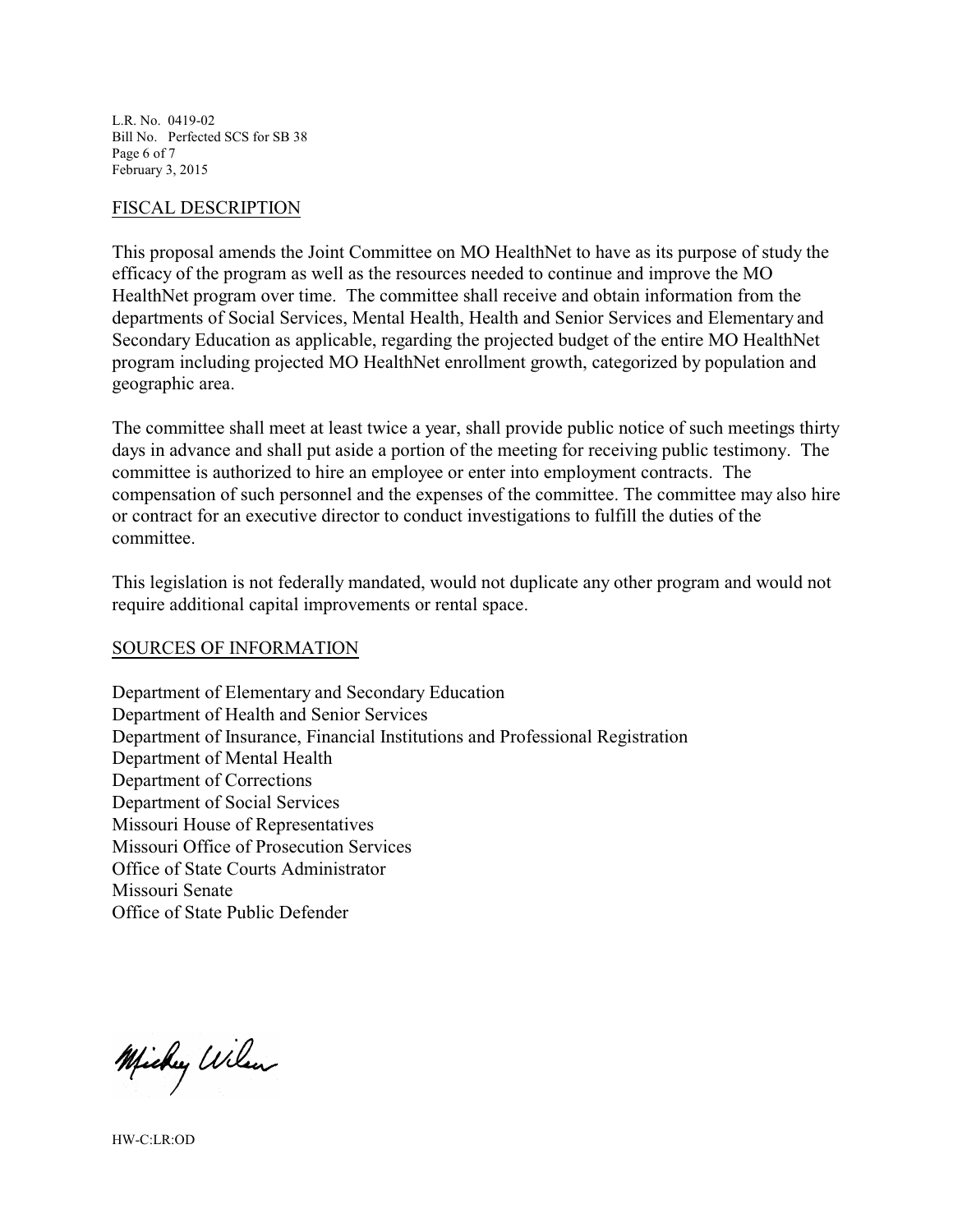L.R. No. 0419-02 Bill No. Perfected SCS for SB 38 Page 6 of 7 February 3, 2015

#### FISCAL DESCRIPTION

This proposal amends the Joint Committee on MO HealthNet to have as its purpose of study the efficacy of the program as well as the resources needed to continue and improve the MO HealthNet program over time. The committee shall receive and obtain information from the departments of Social Services, Mental Health, Health and Senior Services and Elementary and Secondary Education as applicable, regarding the projected budget of the entire MO HealthNet program including projected MO HealthNet enrollment growth, categorized by population and geographic area.

The committee shall meet at least twice a year, shall provide public notice of such meetings thirty days in advance and shall put aside a portion of the meeting for receiving public testimony. The committee is authorized to hire an employee or enter into employment contracts. The compensation of such personnel and the expenses of the committee. The committee may also hire or contract for an executive director to conduct investigations to fulfill the duties of the committee.

This legislation is not federally mandated, would not duplicate any other program and would not require additional capital improvements or rental space.

#### SOURCES OF INFORMATION

Department of Elementary and Secondary Education Department of Health and Senior Services Department of Insurance, Financial Institutions and Professional Registration Department of Mental Health Department of Corrections Department of Social Services Missouri House of Representatives Missouri Office of Prosecution Services Office of State Courts Administrator Missouri Senate Office of State Public Defender

Michey Wilson

HW-C:LR:OD